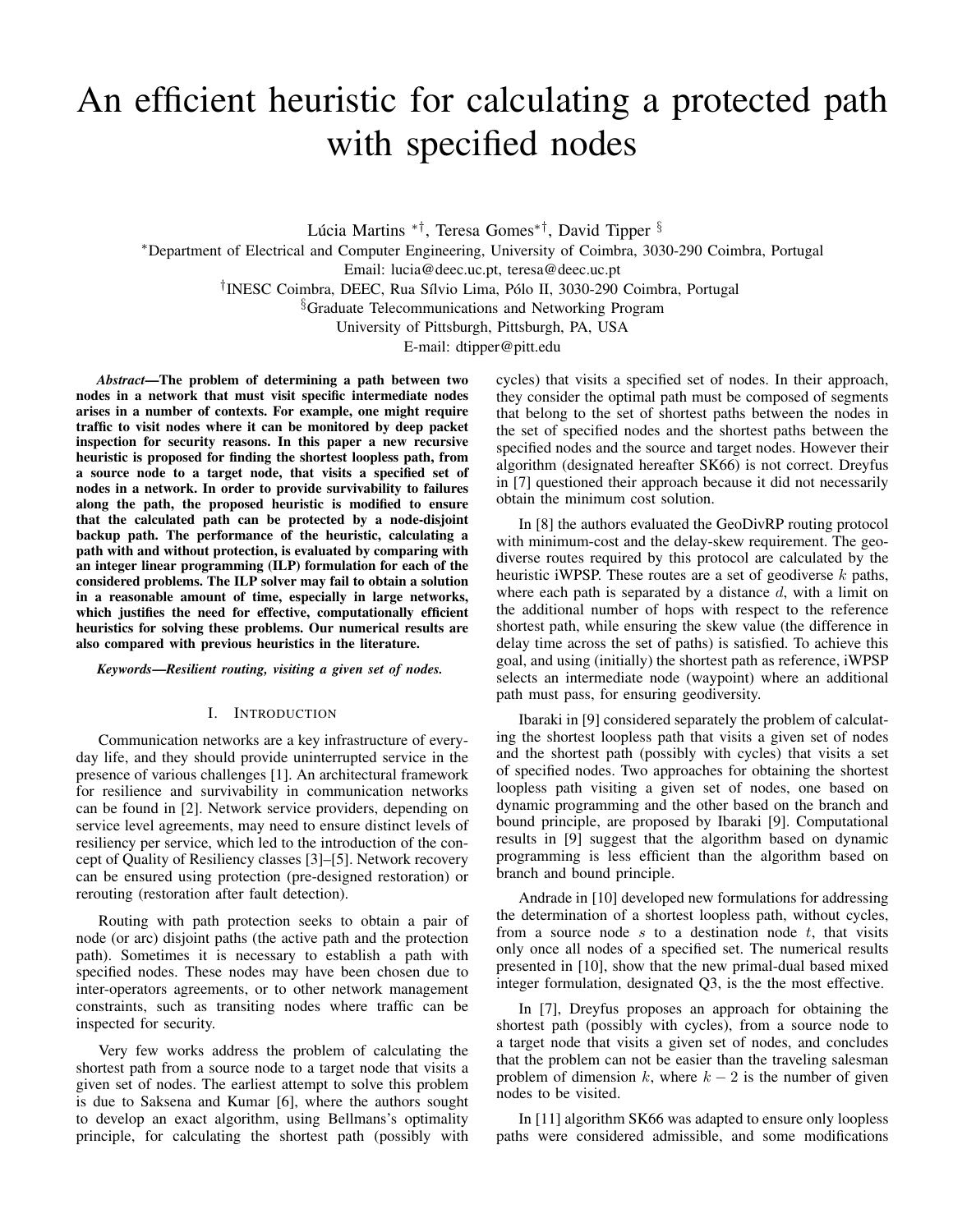# An efficient heuristic for calculating a protected path with specified nodes

Lúcia Martins \*<sup>†</sup>, Teresa Gomes\*<sup>†</sup>, David Tipper <sup>§</sup>

<sup>∗</sup>Department of Electrical and Computer Engineering, University of Coimbra, 3030-290 Coimbra, Portugal Email: lucia@deec.uc.pt, teresa@deec.uc.pt

<sup>†</sup>INESC Coimbra, DEEC, Rua Sílvio Lima, Pólo II, 3030-290 Coimbra, Portugal

§Graduate Telecommunications and Networking Program

University of Pittsburgh, Pittsburgh, PA, USA

E-mail: dtipper@pitt.edu

*Abstract*—The problem of determining a path between two nodes in a network that must visit specific intermediate nodes arises in a number of contexts. For example, one might require traffic to visit nodes where it can be monitored by deep packet inspection for security reasons. In this paper a new recursive heuristic is proposed for finding the shortest loopless path, from a source node to a target node, that visits a specified set of nodes in a network. In order to provide survivability to failures along the path, the proposed heuristic is modified to ensure that the calculated path can be protected by a node-disjoint backup path. The performance of the heuristic, calculating a path with and without protection, is evaluated by comparing with an integer linear programming (ILP) formulation for each of the considered problems. The ILP solver may fail to obtain a solution in a reasonable amount of time, especially in large networks, which justifies the need for effective, computationally efficient heuristics for solving these problems. Our numerical results are also compared with previous heuristics in the literature.

*Keywords*—*Resilient routing, visiting a given set of nodes.*

#### I. INTRODUCTION

Communication networks are a key infrastructure of everyday life, and they should provide uninterrupted service in the presence of various challenges [1]. An architectural framework for resilience and survivability in communication networks can be found in [2]. Network service providers, depending on service level agreements, may need to ensure distinct levels of resiliency per service, which led to the introduction of the concept of Quality of Resiliency classes [3]–[5]. Network recovery can be ensured using protection (pre-designed restoration) or rerouting (restoration after fault detection).

Routing with path protection seeks to obtain a pair of node (or arc) disjoint paths (the active path and the protection path). Sometimes it is necessary to establish a path with specified nodes. These nodes may have been chosen due to inter-operators agreements, or to other network management constraints, such as transiting nodes where traffic can be inspected for security.

Very few works address the problem of calculating the shortest path from a source node to a target node that visits a given set of nodes. The earliest attempt to solve this problem is due to Saksena and Kumar [6], where the authors sought to develop an exact algorithm, using Bellmans's optimality principle, for calculating the shortest path (possibly with cycles) that visits a specified set of nodes. In their approach, they consider the optimal path must be composed of segments that belong to the set of shortest paths between the nodes in the set of specified nodes and the shortest paths between the specified nodes and the source and target nodes. However their algorithm (designated hereafter SK66) is not correct. Dreyfus in [7] questioned their approach because it did not necessarily obtain the minimum cost solution.

In [8] the authors evaluated the GeoDivRP routing protocol with minimum-cost and the delay-skew requirement. The geodiverse routes required by this protocol are calculated by the heuristic iWPSP. These routes are a set of geodiverse  $k$  paths, where each path is separated by a distance  $d$ , with a limit on the additional number of hops with respect to the reference shortest path, while ensuring the skew value (the difference in delay time across the set of paths) is satisfied. To achieve this goal, and using (initially) the shortest path as reference, iWPSP selects an intermediate node (waypoint) where an additional path must pass, for ensuring geodiversity.

Ibaraki in [9] considered separately the problem of calculating the shortest loopless path that visits a given set of nodes and the shortest path (possibly with cycles) that visits a set of specified nodes. Two approaches for obtaining the shortest loopless path visiting a given set of nodes, one based on dynamic programming and the other based on the branch and bound principle, are proposed by Ibaraki [9]. Computational results in [9] suggest that the algorithm based on dynamic programming is less efficient than the algorithm based on branch and bound principle.

Andrade in [10] developed new formulations for addressing the determination of a shortest loopless path, without cycles, from a source node  $s$  to a destination node  $t$ , that visits only once all nodes of a specified set. The numerical results presented in [10], show that the new primal-dual based mixed integer formulation, designated Q3, is the the most effective.

In [7], Dreyfus proposes an approach for obtaining the shortest path (possibly with cycles), from a source node to a target node that visits a given set of nodes, and concludes that the problem can not be easier than the traveling salesman problem of dimension k, where  $k - 2$  is the number of given nodes to be visited.

In [11] algorithm SK66 was adapted to ensure only loopless paths were considered admissible, and some modifications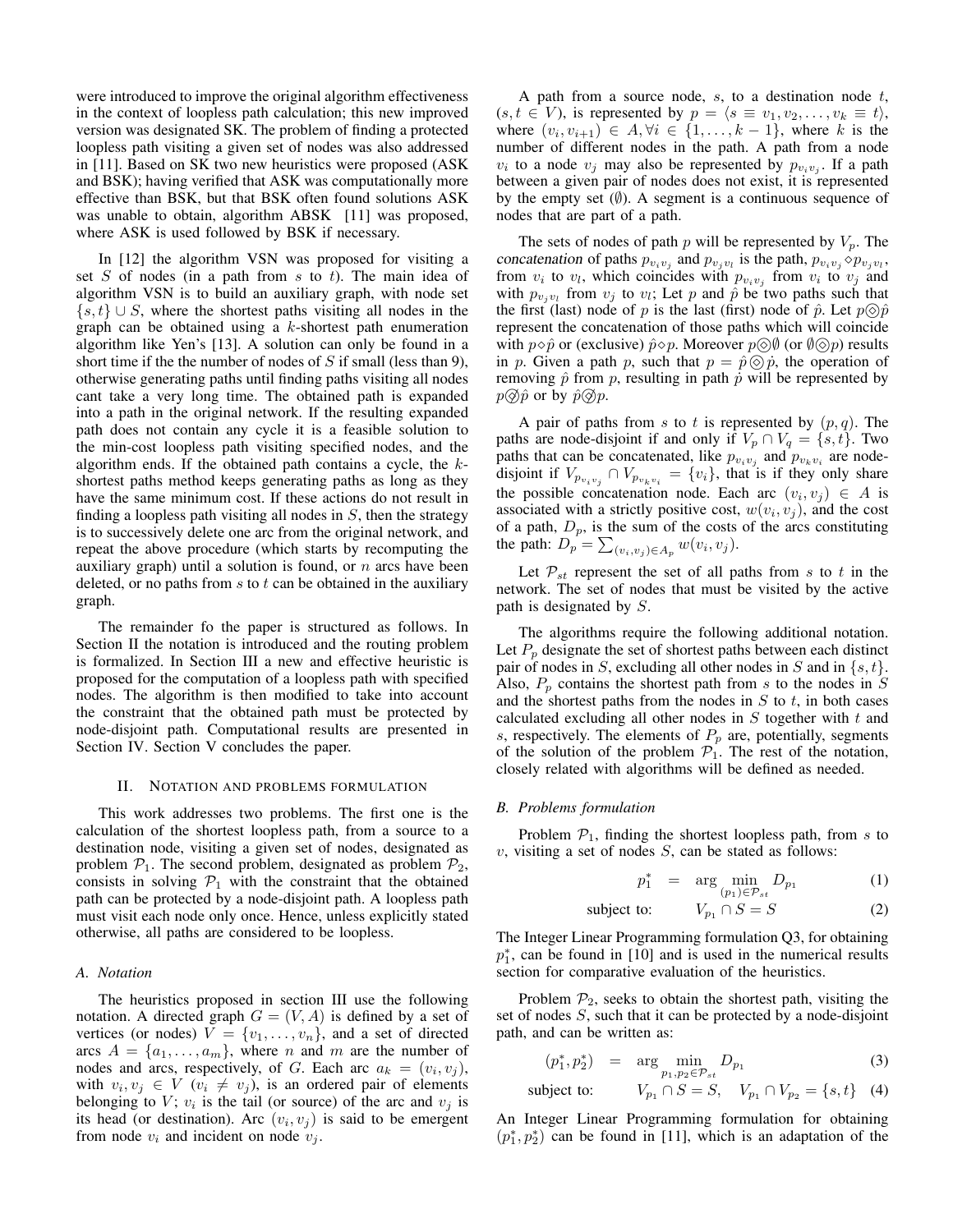were introduced to improve the original algorithm effectiveness in the context of loopless path calculation; this new improved version was designated SK. The problem of finding a protected loopless path visiting a given set of nodes was also addressed in [11]. Based on SK two new heuristics were proposed (ASK and BSK); having verified that ASK was computationally more effective than BSK, but that BSK often found solutions ASK was unable to obtain, algorithm ABSK [11] was proposed, where ASK is used followed by BSK if necessary.

In [12] the algorithm VSN was proposed for visiting a set  $S$  of nodes (in a path from  $s$  to  $t$ ). The main idea of algorithm VSN is to build an auxiliary graph, with node set  $\{s, t\} \cup S$ , where the shortest paths visiting all nodes in the graph can be obtained using a k-shortest path enumeration algorithm like Yen's [13]. A solution can only be found in a short time if the the number of nodes of  $S$  if small (less than 9), otherwise generating paths until finding paths visiting all nodes cant take a very long time. The obtained path is expanded into a path in the original network. If the resulting expanded path does not contain any cycle it is a feasible solution to the min-cost loopless path visiting specified nodes, and the algorithm ends. If the obtained path contains a cycle, the kshortest paths method keeps generating paths as long as they have the same minimum cost. If these actions do not result in finding a loopless path visiting all nodes in  $S$ , then the strategy is to successively delete one arc from the original network, and repeat the above procedure (which starts by recomputing the auxiliary graph) until a solution is found, or  $n$  arcs have been deleted, or no paths from  $s$  to  $t$  can be obtained in the auxiliary graph.

The remainder fo the paper is structured as follows. In Section II the notation is introduced and the routing problem is formalized. In Section III a new and effective heuristic is proposed for the computation of a loopless path with specified nodes. The algorithm is then modified to take into account the constraint that the obtained path must be protected by node-disjoint path. Computational results are presented in Section IV. Section V concludes the paper.

## II. NOTATION AND PROBLEMS FORMULATION

This work addresses two problems. The first one is the calculation of the shortest loopless path, from a source to a destination node, visiting a given set of nodes, designated as problem  $P_1$ . The second problem, designated as problem  $P_2$ , consists in solving  $P_1$  with the constraint that the obtained path can be protected by a node-disjoint path. A loopless path must visit each node only once. Hence, unless explicitly stated otherwise, all paths are considered to be loopless.

# *A. Notation*

The heuristics proposed in section III use the following notation. A directed graph  $G = (V, A)$  is defined by a set of vertices (or nodes)  $V = \{v_1, \ldots, v_n\}$ , and a set of directed arcs  $A = \{a_1, \ldots, a_m\}$ , where *n* and *m* are the number of nodes and arcs, respectively, of G. Each arc  $a_k = (v_i, v_j)$ , with  $v_i, v_j \in V$   $(v_i \neq v_j)$ , is an ordered pair of elements belonging to V;  $v_i$  is the tail (or source) of the arc and  $v_j$  is its head (or destination). Arc  $(v_i, v_j)$  is said to be emergent from node  $v_i$  and incident on node  $v_i$ .

A path from a source node,  $s$ , to a destination node  $t$ ,  $(s, t \in V)$ , is represented by  $p = \langle s \equiv v_1, v_2, \ldots, v_k \equiv t \rangle$ , where  $(v_i, v_{i+1}) \in A, \forall i \in \{1, \ldots, k-1\}$ , where k is the number of different nodes in the path. A path from a node  $v_i$  to a node  $v_j$  may also be represented by  $p_{v_i v_j}$ . If a path between a given pair of nodes does not exist, it is represented by the empty set  $(\emptyset)$ . A segment is a continuous sequence of nodes that are part of a path.

The sets of nodes of path p will be represented by  $V_p$ . The concatenation of paths  $p_{v_i v_j}$  and  $p_{v_j v_l}$  is the path,  $p_{v_i v_j} \diamond p_{v_j v_l}$ , from  $v_i$  to  $v_l$ , which coincides with  $p_{v_i v_j}$  from  $v_i$  to  $v_j$  and with  $p_{v_j v_l}$  from  $v_j$  to  $v_l$ ; Let p and  $\hat{p}$  be two paths such that the first (last) node of p is the last (first) node of  $\hat{p}$ . Let  $p \circledcirc \hat{p}$ represent the concatenation of those paths which will coincide with  $p \diamond \hat{p}$  or (exclusive)  $\hat{p} \diamond p$ . Moreover  $p \diamondled{\Diamond \emptyset}$  (or  $\emptyset \diamondled{\Diamond p}$ ) results in p. Given a path p, such that  $p = \hat{p} \otimes \hat{p}$ , the operation of removing  $\hat{p}$  from p, resulting in path  $\hat{p}$  will be represented by  $p \circledS \hat{p}$  or by  $\hat{p} \circledS p$ .

A pair of paths from s to t is represented by  $(p, q)$ . The paths are node-disjoint if and only if  $V_p \cap V_q = \{s, t\}$ . Two paths that can be concatenated, like  $p_{v_i v_j}$  and  $p_{v_k v_i}$  are nodedisjoint if  $V_{p_{v_i v_j}} \cap V_{p_{v_k v_i}} = \{v_i\}$ , that is if they only share the possible concatenation node. Each arc  $(v_i, v_j) \in A$  is associated with a strictly positive cost,  $w(v_i, v_j)$ , and the cost of a path,  $D_p$ , is the sum of the costs of the arcs constituting the path:  $D_p = \sum_{(v_i, v_j) \in A_p} w(v_i, v_j)$ .

Let  $P_{st}$  represent the set of all paths from s to t in the network. The set of nodes that must be visited by the active path is designated by S.

The algorithms require the following additional notation. Let  $P_p$  designate the set of shortest paths between each distinct pair of nodes in S, excluding all other nodes in S and in  $\{s, t\}$ . Also,  $P_p$  contains the shortest path from s to the nodes in S and the shortest paths from the nodes in  $S$  to  $t$ , in both cases calculated excluding all other nodes in  $S$  together with  $t$  and s, respectively. The elements of  $P_p$  are, potentially, segments of the solution of the problem  $\mathcal{P}_1$ . The rest of the notation, closely related with algorithms will be defined as needed.

### *B. Problems formulation*

Problem  $P_1$ , finding the shortest loopless path, from s to  $v$ , visiting a set of nodes  $S$ , can be stated as follows:

$$
p_1^* = \arg\min_{(p_1)\in\mathcal{P}_{st}} D_{p_1} \tag{1}
$$

subject to: 
$$
V_{p_1} \cap S = S
$$
 (2)

The Integer Linear Programming formulation Q3, for obtaining  $p_1^*$ , can be found in [10] and is used in the numerical results section for comparative evaluation of the heuristics.

Problem  $P_2$ , seeks to obtain the shortest path, visiting the set of nodes S, such that it can be protected by a node-disjoint path, and can be written as:

$$
(p_1^*, p_2^*) = \arg \min_{p_1, p_2 \in \mathcal{P}_{st}} D_{p_1}
$$
 (3)

subject to: 
$$
V_{p_1} \cap S = S
$$
,  $V_{p_1} \cap V_{p_2} = \{s, t\}$  (4)

An Integer Linear Programming formulation for obtaining  $(p_1^*, p_2^*)$  can be found in [11], which is an adaptation of the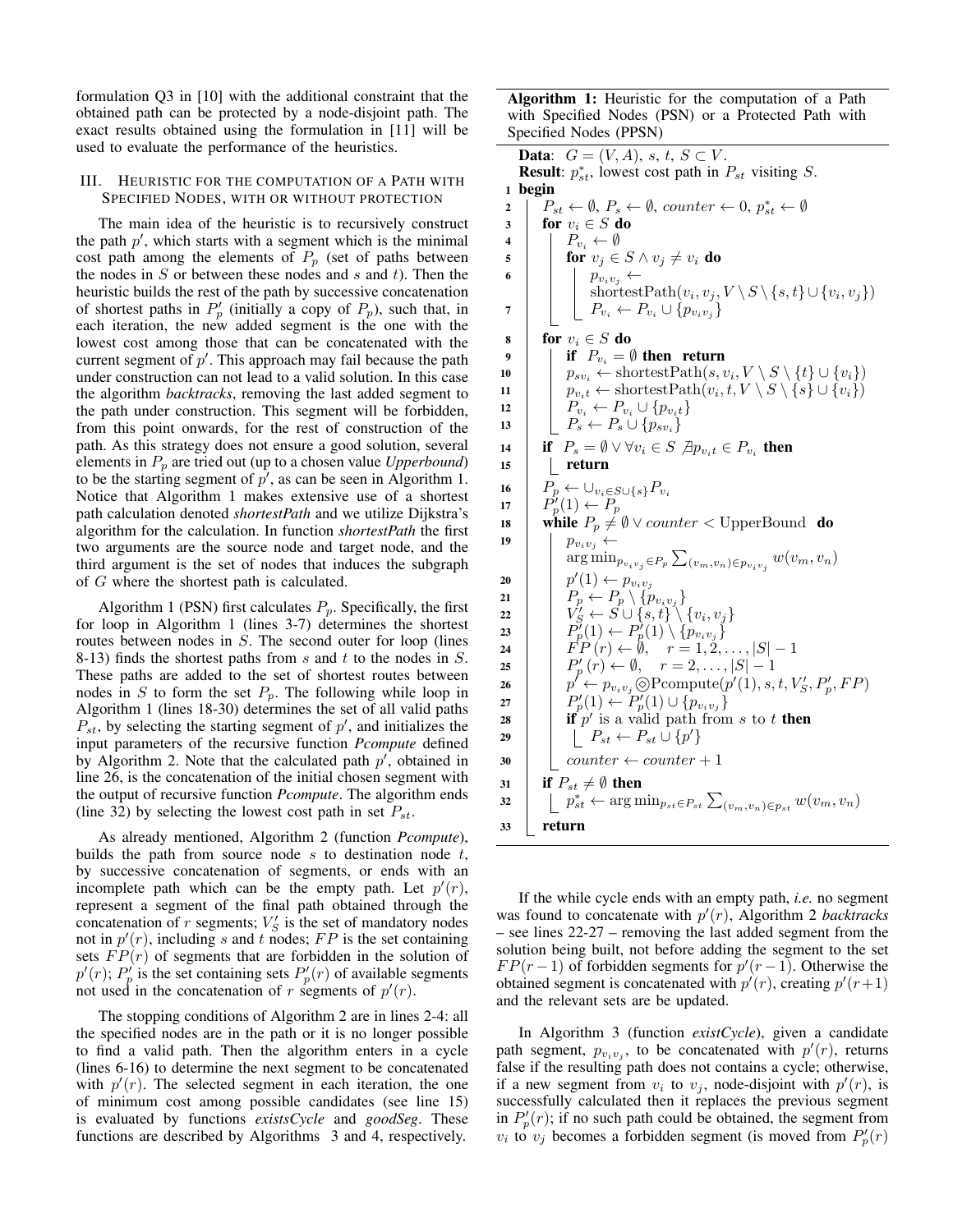formulation Q3 in [10] with the additional constraint that the obtained path can be protected by a node-disjoint path. The exact results obtained using the formulation in [11] will be used to evaluate the performance of the heuristics.

# III. HEURISTIC FOR THE COMPUTATION OF A PATH WITH SPECIFIED NODES, WITH OR WITHOUT PROTECTION

The main idea of the heuristic is to recursively construct the path  $p'$ , which starts with a segment which is the minimal cost path among the elements of  $P_p$  (set of paths between the nodes in  $S$  or between these nodes and  $s$  and  $t$ ). Then the heuristic builds the rest of the path by successive concatenation of shortest paths in  $P'_p$  (initially a copy of  $P_p$ ), such that, in each iteration, the new added segment is the one with the lowest cost among those that can be concatenated with the current segment of  $p'$ . This approach may fail because the path under construction can not lead to a valid solution. In this case the algorithm *backtracks*, removing the last added segment to the path under construction. This segment will be forbidden, from this point onwards, for the rest of construction of the path. As this strategy does not ensure a good solution, several elements in  $P_p$  are tried out (up to a chosen value *Upperbound*) to be the starting segment of  $p'$ , as can be seen in Algorithm 1. Notice that Algorithm 1 makes extensive use of a shortest path calculation denoted *shortestPath* and we utilize Dijkstra's algorithm for the calculation. In function *shortestPath* the first two arguments are the source node and target node, and the third argument is the set of nodes that induces the subgraph of G where the shortest path is calculated.

Algorithm 1 (PSN) first calculates  $P_p$ . Specifically, the first for loop in Algorithm 1 (lines 3-7) determines the shortest routes between nodes in  $S$ . The second outer for loop (lines 8-13) finds the shortest paths from  $s$  and  $t$  to the nodes in  $S$ . These paths are added to the set of shortest routes between nodes in S to form the set  $P_p$ . The following while loop in Algorithm 1 (lines 18-30) determines the set of all valid paths  $P_{st}$ , by selecting the starting segment of  $p'$ , and initializes the input parameters of the recursive function *Pcompute* defined by Algorithm 2. Note that the calculated path  $p'$ , obtained in line 26, is the concatenation of the initial chosen segment with the output of recursive function *Pcompute*. The algorithm ends (line 32) by selecting the lowest cost path in set  $P_{st}$ .

As already mentioned, Algorithm 2 (function *Pcompute*), builds the path from source node  $s$  to destination node  $t$ , by successive concatenation of segments, or ends with an incomplete path which can be the empty path. Let  $p'(r)$ , represent a segment of the final path obtained through the concatenation of r segments;  $V_S'$  is the set of mandatory nodes not in  $p'(r)$ , including s and t nodes; FP is the set containing sets  $FP(r)$  of segments that are forbidden in the solution of  $p'(r)$ ;  $P'_p$  is the set containing sets  $P'_p(r)$  of available segments not used in the concatenation of r segments of  $p'(r)$ .

The stopping conditions of Algorithm 2 are in lines 2-4: all the specified nodes are in the path or it is no longer possible to find a valid path. Then the algorithm enters in a cycle (lines 6-16) to determine the next segment to be concatenated with  $p'(r)$ . The selected segment in each iteration, the one of minimum cost among possible candidates (see line 15) is evaluated by functions *existsCycle* and *goodSeg*. These functions are described by Algorithms 3 and 4, respectively.

Algorithm 1: Heuristic for the computation of a Path with Specified Nodes (PSN) or a Protected Path with Specified Nodes (PPSN)

Data:  $G = (V, A), s, t, S \subset V$ . **Result:**  $p_{st}^*$ , lowest cost path in  $P_{st}$  visiting  $S$ . 1 begin  $2 \mid P_{st} \leftarrow \emptyset, P_s \leftarrow \emptyset, counter \leftarrow 0, p_{st}^* \leftarrow \emptyset$ 3 for  $v_i \in S$  do 4  $\mid$   $P_{v_i} \leftarrow \emptyset$ 5 **for**  $v_j \in S \wedge v_j \neq v_i$  do 6 | |  $p_{v_iv_j} \leftarrow$ shortestPath $(v_i, v_j, V \setminus S \setminus \{s, t\} \cup \{v_i, v_j\})$ 7  $\mid \quad \mid P_{v_i} \leftarrow P_{v_i} \cup \{p_{v_iv_j}\}$ 8 for  $v_i \in S$  do 9 if  $P_{v_i} = \emptyset$  then return 10  $\vert \quad \vert \quad p_{sv_i} \leftarrow \text{shortestPath}(s, v_i, V \setminus S \setminus \{t\} \cup \{v_i\})$ 11  $\vert \quad \vert \quad p_{v_i t} \leftarrow \text{shortestPath}(v_i, t, V \setminus S \setminus \{s\} \cup \{v_i\})$ 12  $\vert P_{v_i} \leftarrow P_{v_i} \cup \{p_{v_i t}\}$ 13  $\left[\begin{array}{c} P_s \leftarrow P_s \cup \{p_{sv_i}\}\end{array}\right]$ 14  $\parallel$  if  $P_s = \emptyset \vee \forall v_i \in S$   $\nexists p_{v_i t} \in P_{v_i}$  then  $15$  | return 16  $P_p \leftarrow \bigcup_{v_i \in S \cup \{s\}} P_{v_i}$ 17  $\mid P'_p(1) \leftarrow P_p$ 18 while  $P_p \neq \emptyset \vee counter <$  UpperBound do 19 |  $p_{v_iv_j} \leftarrow$  $\arg\min_{p_{v_iv_j}\in P_p}\sum_{(v_m,v_n)\in p_{v_iv_j}}w(v_m,v_n)$ 20  $\vert p'(1) \leftarrow p_{v_i v_j}$ 21  $\left| P_p \leftarrow P_p \setminus \{p_{v_iv_j}\}$  $\begin{array}{|c|c|c|c|}\hline & & & & \hline & & & \hline \end{array} \begin{array}{|c|c|c|c|}\hline & & & & \hline & & & \hline \end{array} \begin{array}{|c|c|c|c|c|}\hline \end{array} \begin{array}{|c|c|c|c|c|}\hline \end{array} \begin{array}{|c|c|c|c|c|}\hline \end{array} \begin{array}{|c|c|c|c|c|}\hline \end{array} \begin{array}{|c|c|c|c|c|}\hline \end{array} \begin{array}{|c|c|c|c|c|}\hline \end{array} \begin{array}{|$ 23  $\left| \begin{array}{c} | \end{array} \right. \left| \begin{array}{c} P_p^{\gamma}(1) \leftarrow P_p^{\gamma}(1) \setminus \{p_{v_iv_j}\} \end{array} \right.$ 24  $\vert \quad \vert \quad \overline{FP}(r) \leftarrow \emptyset, \quad r = 1, 2, \ldots, |S| - 1$ 25  $\left| P'_p(r) \leftarrow \emptyset, \quad r = 2, \ldots, |S| - 1$ 26  $\vert \quad \vert \quad p' \leftarrow p_{v_i v_j} \textcircled{P} \text{compute}(p'(1), s, t, V'_{S}, P'_p, FP)$ 27  $\left| P'_{p}(1) \leftarrow P'_{p}(1) \cup \{p_{v_i v_j}\}\$ 28 if p' is a valid path from s to t then 29  $\begin{array}{|c|c|c|}\n\hline\n&{}&\n\end{array} \begin{array}{|c|c|c|}\n\hline\nP_{st} \leftarrow P_{st} \cup \{p'\} \hline \end{array}$  $30$  counter  $\leftarrow$  counter  $+1$ 31 if  $P_{st} \neq \emptyset$  then 32  $\vert p_{st}^* \leftarrow \arg \min_{p_{st} \in P_{st}} \sum_{(v_m, v_n) \in p_{st}} w(v_m, v_n)$ <sup>33</sup> return

If the while cycle ends with an empty path, *i.e.* no segment was found to concatenate with  $p'(r)$ , Algorithm 2 *backtracks* – see lines 22-27 – removing the last added segment from the solution being built, not before adding the segment to the set  $FP(r-1)$  of forbidden segments for  $p'(r-1)$ . Otherwise the obtained segment is concatenated with  $p'(r)$ , creating  $p'(r+1)$ and the relevant sets are be updated.

In Algorithm 3 (function *existCycle*), given a candidate path segment,  $p_{v_i v_j}$ , to be concatenated with  $p'(r)$ , returns false if the resulting path does not contains a cycle; otherwise, if a new segment from  $v_i$  to  $v_j$ , node-disjoint with  $p'(r)$ , is successfully calculated then it replaces the previous segment in  $P_p'(r)$ ; if no such path could be obtained, the segment from  $v_i$  to  $v_j$  becomes a forbidden segment (is moved from  $P'_p(r)$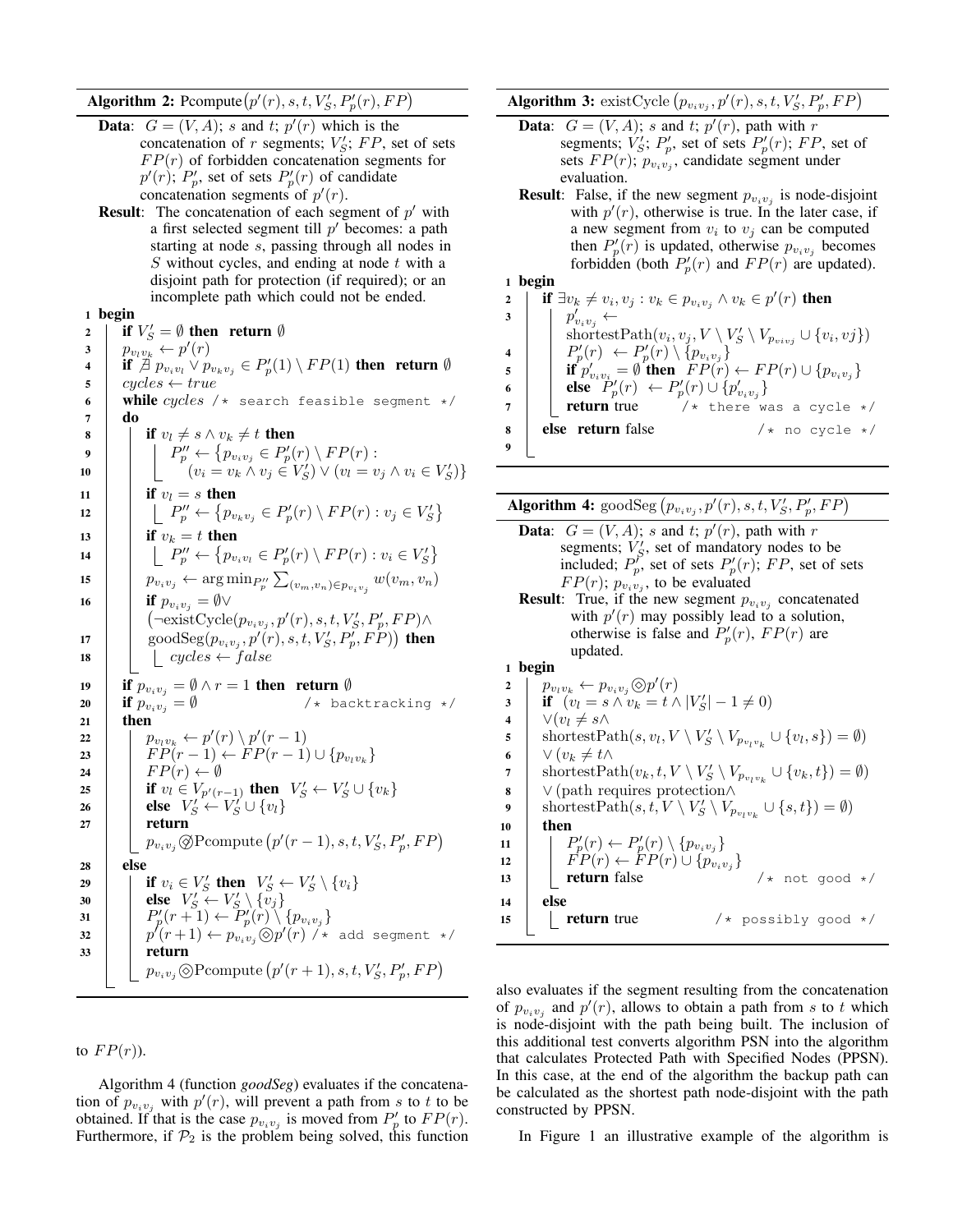Algorithm 2: Pcompute  $(p'(r), s, t, V'_S, P'_p(r), FP)$ 

- **Data:**  $G = (V, A)$ ; s and t;  $p'(r)$  which is the concatenation of r segments;  $V'_{S}$ ;  $FP$ , set of sets  $FP(r)$  of forbidden concatenation segments for  $p'(r)$ ;  $P'_p$ , set of sets  $P'_p(r)$  of candidate concatenation segments of  $p'(r)$ .
- **Result:** The concatenation of each segment of  $p'$  with a first selected segment till  $p'$  becomes: a path starting at node s, passing through all nodes in  $S$  without cycles, and ending at node  $t$  with a disjoint path for protection (if required); or an incomplete path which could not be ended.

# 1 begin

2 if  $V'_S = \emptyset$  then return  $\emptyset$ 3  $p_{v_l v_k} \leftarrow p'(r)$ 4 if  $\overrightarrow{A}$   $p_{v_i v_l} \vee p_{v_k v_j} \in P'_p(1) \setminus FP(1)$  then return  $\emptyset$  $\mathfrak{s}$  | cycles  $\leftarrow true$ 6 while cycles /\* search feasible segment \*/ 7 do 8 if  $v_l \neq s \wedge v_k \neq t$  then 9  $\parallel$   $P''_p \leftarrow \{p_{v_iv_j} \in P'_p(r) \setminus FP(r) :$ 10  $\bigg| \bigg| \bigg| \bigg| \bigg| \bigg| \bigg| \bigg( v_i = v_k \wedge v_j \in V_S' \bigg) \vee (v_l = v_j \wedge v_i \in V_S') \bigg\}$ 11 **if**  $v_l = s$  then 12  $\left| \quad \right| \left| P''_p \leftarrow \left\{ p_{v_kv_j} \in P'_p(r) \setminus FP(r) : v_j \in V'_S \right\}$ 13 if  $v_k = t$  then 14  $\left[\begin{array}{c} \end{array}\right]$   $\left[\begin{array}{c} P''_p \leftarrow \{p_{v_i v_l} \in P'_p(r) \setminus FP(r) : v_i \in V'_S\} \end{array}\right]$ 15  $p_{v_i v_j} \leftarrow \arg\min_{P''_p} \sum_{(v_m, v_n) \in p_{v_i v_j}} w(v_m, v_n)$ 16 **if**  $p_{v_i v_j} = \emptyset \vee$  $\left(\neg \text{existCycle}(p_{v_i v_j}, p'(r), s, t, V'_S, P'_p, FP)\wedge \right)$ 17 |  $\cos \theta \cdot \cos(p_{v_i v_j}, p'(r), s, t, V'_S, P'_p, FP)$  then 18  $\vert$   $\vert$  cycles  $\leftarrow$  false 19 **if**  $p_{v_i v_j} = \emptyset \wedge r = 1$  then return  $\emptyset$ 20 if  $p_{v_iv_j} = \emptyset$  /\* backtracking \*/  $21$  then 22  $\vert \quad \vert \quad p_{v_l v_k} \leftarrow p'(r) \setminus p'(r-1)$ 23  $\left| \quad \right| \quad FP(r-1) \leftarrow FP(r-1) \cup \{p_{v_l v_k}\}$ 24 | F $P(r) \leftarrow \emptyset$ 25 **if**  $v_i \in V_{p'(r-1)}$  then  $V'_S \leftarrow V'_S \cup \{v_k\}$ 26 **else**  $V_S' \leftarrow V_S' \cup \{v_l\}$  $27$  return  $p_{v_i v_j} \bigotimes \text{Pcompute}\left(p'(r-1), s, t, V'_S, P'_p, FP\right)$ <sup>28</sup> else 29 if  $v_i \in V_S'$  then  $V_S' \leftarrow V_S' \setminus \{v_i\}$ 30 **else**  $V'_S \leftarrow V'_S \setminus \{v_j\}$ 31  $\left| P'_p(r+1) \leftarrow P'_p(r) \setminus \{p_{v_iv_j}\}$ 32  $\vert p'(r+1) \leftarrow p_{v_iv_j} \otimes p'(r)$  /\* add segment \*/ <sup>33</sup> return  $p_{v_i v_j} \textcircled{sP}$ compute  $(p'(r+1), s, t, V'_S, P'_p, FP)$ 

# to  $FP(r)$ ).

Algorithm 4 (function *goodSeg*) evaluates if the concatenation of  $p_{v_i v_j}$  with  $p'(r)$ , will prevent a path from s to t to be obtained. If that is the case  $p_{v_i v_j}$  is moved from  $P'_p$  to  $FP(r)$ . Furthermore, if  $\mathcal{P}_2$  is the problem being solved, this function Algorithm 3: existCycle  $(p_{v_i v_j}, p'(r), s, t, V'_S, P'_p, FP)$ 

- **Data:**  $G = (V, A)$ ; *s* and *t*;  $p'(r)$ , path with *r* segments;  $V'_S$ ;  $P'_p$ , set of sets  $P'_p(r)$ ; FP, set of sets  $FP(r)$ ;  $p_{v_i v_j}$ , candidate segment under evaluation.
- **Result**: False, if the new segment  $p_{v_i v_j}$  is node-disjoint with  $p'(r)$ , otherwise is true. In the later case, if a new segment from  $v_i$  to  $v_j$  can be computed then  $P'_p(r)$  is updated, otherwise  $p_{v_i v_j}$  becomes forbidden (both  $P'_p(r)$  and  $FP(r)$  are updated). **hagin**

$$
1 \text{ begin}
$$

2 | if  $\exists v_k \neq v_i, v_j : v_k \in p_{v_i v_j} \land v_k \in p'(r)$  then 3  $\mid \cdot \mid p'_{v_iv_j} \leftarrow$  $\text{shortestPath}(v_i, v_j, V \setminus V'_S \setminus V_{p_{vivj}} \cup \{v_i, v_j\})$ 4  $\begin{array}{|c|c|c|c|c|}\n & \text{SIndicest anti}(v_i, v_j, v \setminus v_S) \ \hline\n & P'_p(r) \setminus \{p_{v_iv_j}\}\n\end{array}$ 5 if  $p'_{v_i v_i} = \emptyset$  then  $FP(r) \leftarrow FP(r) \cup \{p_{v_i v_j}\}$ 6 **else**  $P'_p(r) \leftarrow P'_p(r) \cup \{p'_{v_iv_j}\}$  $7$  **return** true  $\left(\star\right)$  there was a cycle  $\star$ / 8 | else return false  $/*$  no cycle  $*/$ 9

Algorithm 4:  $\text{goodSeg}\left(p_{v_i v_j}, p'(r), s, t, V'_S, P'_p, FP\right)$ 

**Data:**  $G = (V, A)$ ; *s* and *t*;  $p'(r)$ , path with *r* segments;  $V'_{S}$ , set of mandatory nodes to be included;  $P_p^{\prime}$ , set of sets  $P_p^{\prime}(r)$ ; FP, set of sets  $FP(r)$ ;  $p_{v_i v_j}$ , to be evaluated **Result**: True, if the new segment  $p_{v_i v_j}$  concatenated with  $p'(r)$  may possibly lead to a solution, otherwise is false and  $P'_p(r)$ ,  $FP(r)$  are updated. 1 begin 2  $p_{v_i v_k} \leftarrow p_{v_i v_j} \textcircled{\scriptsize{\circ}} p'(r)$ 3 **if**  $(v_l = s \land v_k = t \land |V'_S| - 1 \neq 0)$ 4  $\vee$   $\vee$   $(v_l \neq s \wedge$  $\mathsf{s}$  shortestPath $(s, v_l, V \setminus V'_S \setminus V_{p_{v_l v_k}} \cup \{v_l, s\}) = \emptyset$ ) 6  $\bigvee (v_k \neq t \wedge$  $\eta = \text{shortestPath}(v_k, t, V \setminus V'_S \setminus V_{p_{v_l v_k}} \cup \{v_k, t\}) = \emptyset.$ 8  $\vee$  (path requires protection∧ 9 ShortestPath $(s, t, V \setminus V'_S \setminus V_{p_{v_l v_k}} \cup \{s, t\}) = ∅$  $10$  then 11  $\vert P'_p(r) \leftarrow P'_p(r) \setminus \{p_{v_iv_j}\}$ 12  $\left| \quad \right| \quad \left| \quad \right| P(r) \leftarrow \left| P(r) \cup \{p_{v_i v_j}\}\right|$ 13 **return** false  $/*$  not good  $*/$ <sup>14</sup> else

also evaluates if the segment resulting from the concatenation of  $p_{v_i v_j}$  and  $p'(r)$ , allows to obtain a path from s to t which is node-disjoint with the path being built. The inclusion of this additional test converts algorithm PSN into the algorithm that calculates Protected Path with Specified Nodes (PPSN). In this case, at the end of the algorithm the backup path can be calculated as the shortest path node-disjoint with the path constructed by PPSN.

15 **return** true  $/*$  possibly good  $*/$ 

In Figure 1 an illustrative example of the algorithm is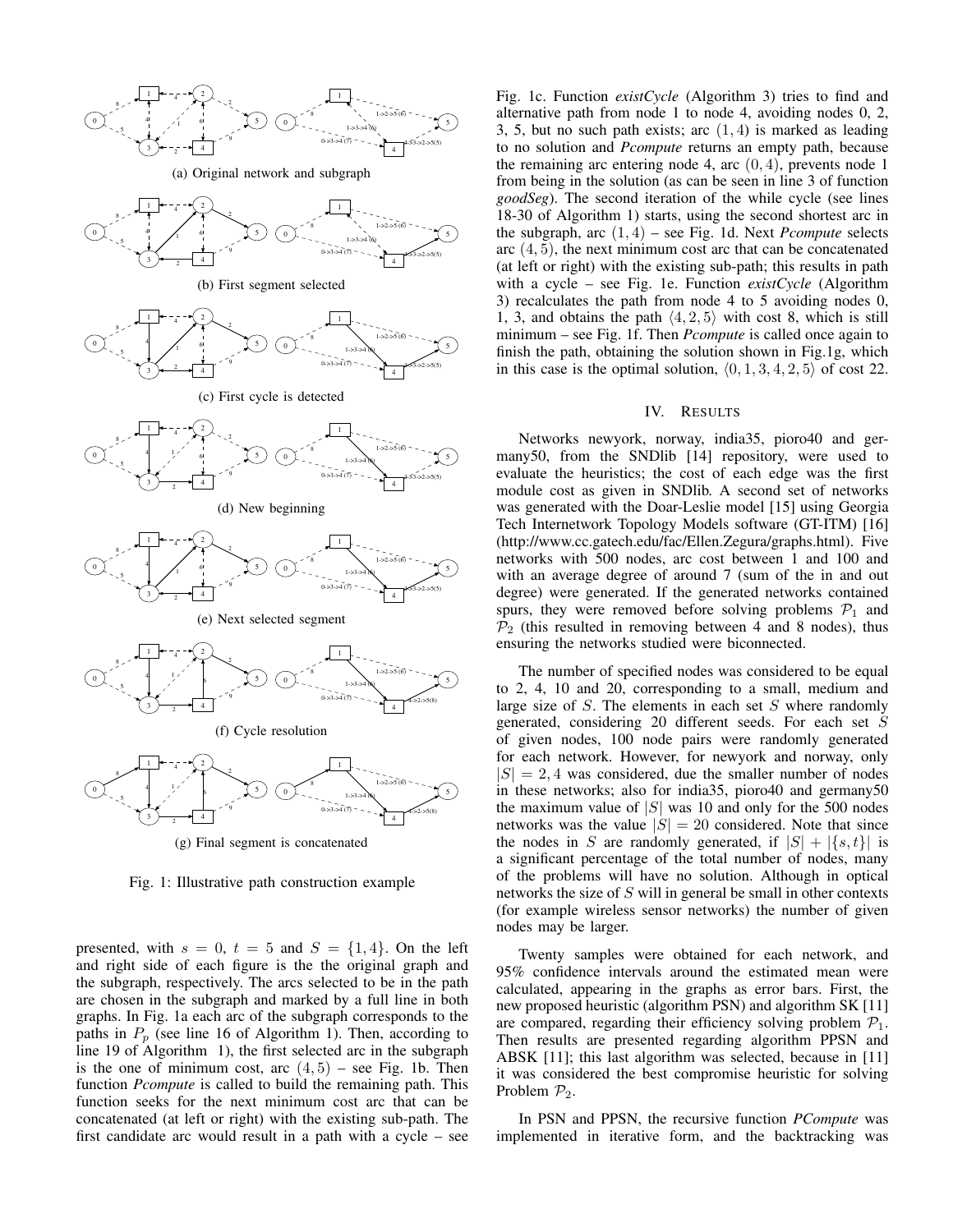

Fig. 1: Illustrative path construction example

presented, with  $s = 0$ ,  $t = 5$  and  $S = \{1, 4\}$ . On the left and right side of each figure is the the original graph and the subgraph, respectively. The arcs selected to be in the path are chosen in the subgraph and marked by a full line in both graphs. In Fig. 1a each arc of the subgraph corresponds to the paths in  $P_p$  (see line 16 of Algorithm 1). Then, according to line 19 of Algorithm 1), the first selected arc in the subgraph is the one of minimum cost, arc  $(4, 5)$  – see Fig. 1b. Then function *Pcompute* is called to build the remaining path. This function seeks for the next minimum cost arc that can be concatenated (at left or right) with the existing sub-path. The first candidate arc would result in a path with a cycle – see Fig. 1c. Function *existCycle* (Algorithm 3) tries to find and alternative path from node 1 to node 4, avoiding nodes 0, 2, 3, 5, but no such path exists; arc  $(1, 4)$  is marked as leading to no solution and *Pcompute* returns an empty path, because the remaining arc entering node 4, arc  $(0, 4)$ , prevents node 1 from being in the solution (as can be seen in line 3 of function *goodSeg*). The second iteration of the while cycle (see lines 18-30 of Algorithm 1) starts, using the second shortest arc in the subgraph, arc  $(1, 4)$  – see Fig. 1d. Next *Pcompute* selects arc  $(4, 5)$ , the next minimum cost arc that can be concatenated (at left or right) with the existing sub-path; this results in path with a cycle – see Fig. 1e. Function *existCycle* (Algorithm 3) recalculates the path from node 4 to 5 avoiding nodes 0, 1, 3, and obtains the path  $\langle 4, 2, 5 \rangle$  with cost 8, which is still minimum – see Fig. 1f. Then *Pcompute* is called once again to finish the path, obtaining the solution shown in Fig.1g, which in this case is the optimal solution,  $\langle 0, 1, 3, 4, 2, 5 \rangle$  of cost 22.

### IV. RESULTS

Networks newyork, norway, india35, pioro40 and germany50, from the SNDlib [14] repository, were used to evaluate the heuristics; the cost of each edge was the first module cost as given in SNDlib. A second set of networks was generated with the Doar-Leslie model [15] using Georgia Tech Internetwork Topology Models software (GT-ITM) [16] (http://www.cc.gatech.edu/fac/Ellen.Zegura/graphs.html). Five networks with 500 nodes, arc cost between 1 and 100 and with an average degree of around 7 (sum of the in and out degree) were generated. If the generated networks contained spurs, they were removed before solving problems  $\mathcal{P}_1$  and  $\mathcal{P}_2$  (this resulted in removing between 4 and 8 nodes), thus ensuring the networks studied were biconnected.

The number of specified nodes was considered to be equal to 2, 4, 10 and 20, corresponding to a small, medium and large size of S. The elements in each set S where randomly generated, considering 20 different seeds. For each set S of given nodes, 100 node pairs were randomly generated for each network. However, for newyork and norway, only  $|S| = 2, 4$  was considered, due the smaller number of nodes in these networks; also for india35, pioro40 and germany50 the maximum value of  $|S|$  was 10 and only for the 500 nodes networks was the value  $|S| = 20$  considered. Note that since the nodes in S are randomly generated, if  $|S| + |\{s, t\}|$  is a significant percentage of the total number of nodes, many of the problems will have no solution. Although in optical networks the size of S will in general be small in other contexts (for example wireless sensor networks) the number of given nodes may be larger.

Twenty samples were obtained for each network, and 95% confidence intervals around the estimated mean were calculated, appearing in the graphs as error bars. First, the new proposed heuristic (algorithm PSN) and algorithm SK [11] are compared, regarding their efficiency solving problem  $P_1$ . Then results are presented regarding algorithm PPSN and ABSK [11]; this last algorithm was selected, because in [11] it was considered the best compromise heuristic for solving Problem  $P_2$ .

In PSN and PPSN, the recursive function *PCompute* was implemented in iterative form, and the backtracking was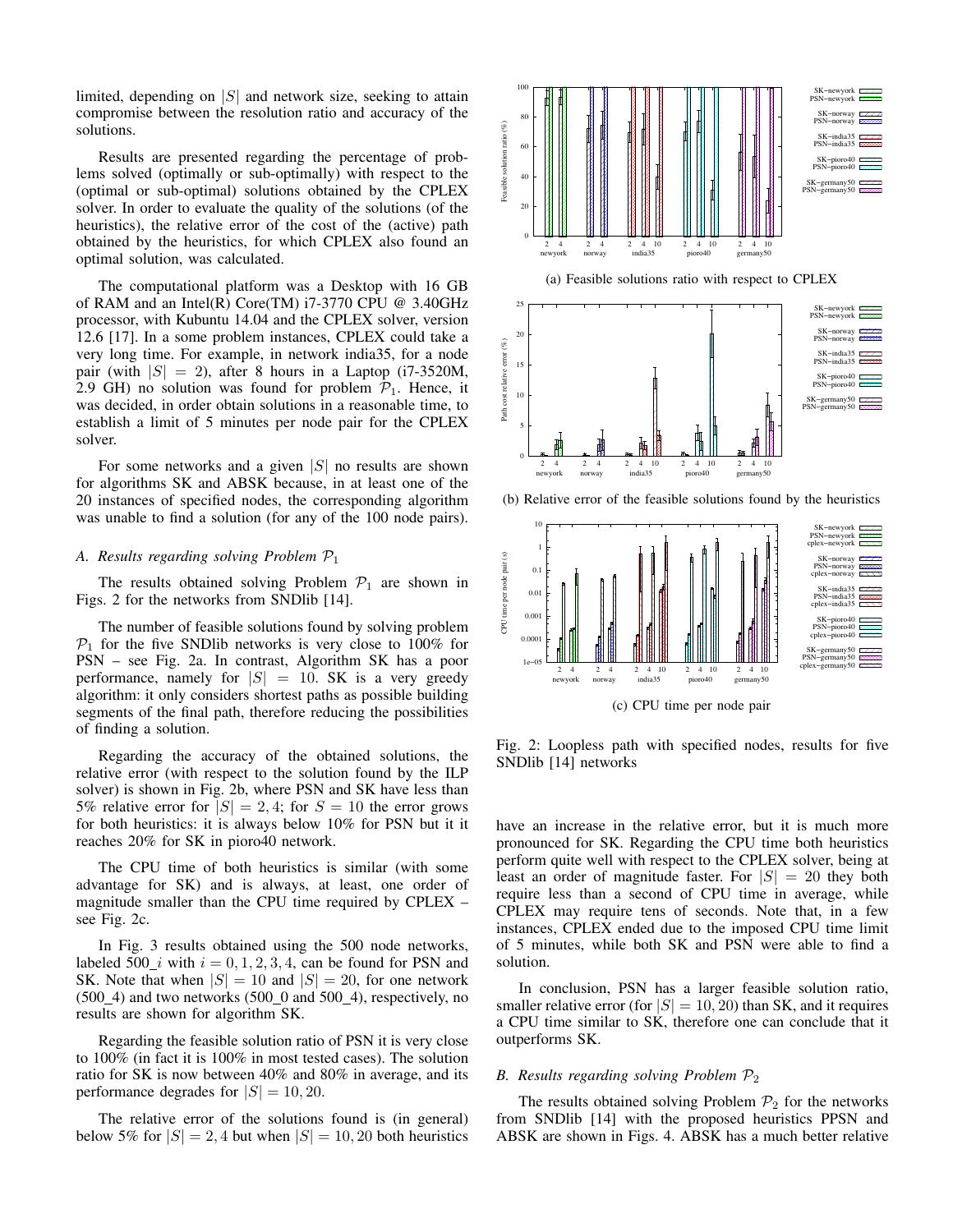limited, depending on  $|S|$  and network size, seeking to attain compromise between the resolution ratio and accuracy of the solutions.

Results are presented regarding the percentage of problems solved (optimally or sub-optimally) with respect to the (optimal or sub-optimal) solutions obtained by the CPLEX solver. In order to evaluate the quality of the solutions (of the heuristics), the relative error of the cost of the (active) path obtained by the heuristics, for which CPLEX also found an optimal solution, was calculated.

The computational platform was a Desktop with 16 GB of RAM and an Intel(R) Core(TM) i7-3770 CPU @ 3.40GHz processor, with Kubuntu 14.04 and the CPLEX solver, version 12.6 [17]. In a some problem instances, CPLEX could take a very long time. For example, in network india35, for a node pair (with  $|S| = 2$ ), after 8 hours in a Laptop (i7-3520M, 2.9 GH) no solution was found for problem  $P_1$ . Hence, it was decided, in order obtain solutions in a reasonable time, to establish a limit of 5 minutes per node pair for the CPLEX solver.

For some networks and a given  $|S|$  no results are shown for algorithms SK and ABSK because, in at least one of the 20 instances of specified nodes, the corresponding algorithm was unable to find a solution (for any of the 100 node pairs).

## *A. Results regarding solving Problem* P<sup>1</sup>

The results obtained solving Problem  $P_1$  are shown in Figs. 2 for the networks from SNDlib [14].

The number of feasible solutions found by solving problem  $P_1$  for the five SNDlib networks is very close to 100% for PSN – see Fig. 2a. In contrast, Algorithm SK has a poor performance, namely for  $|S| = 10$ . SK is a very greedy algorithm: it only considers shortest paths as possible building segments of the final path, therefore reducing the possibilities of finding a solution.

Regarding the accuracy of the obtained solutions, the relative error (with respect to the solution found by the ILP solver) is shown in Fig. 2b, where PSN and SK have less than 5% relative error for  $|S| = 2, 4$ ; for  $S = 10$  the error grows for both heuristics: it is always below 10% for PSN but it it reaches 20% for SK in pioro40 network.

The CPU time of both heuristics is similar (with some advantage for SK) and is always, at least, one order of magnitude smaller than the CPU time required by CPLEX – see Fig. 2c.

In Fig. 3 results obtained using the 500 node networks, labeled 500<sub>1</sub> with  $i = 0, 1, 2, 3, 4$ , can be found for PSN and SK. Note that when  $|S| = 10$  and  $|S| = 20$ , for one network  $(500_4)$  and two networks  $(500_0$  and  $500_4)$ , respectively, no results are shown for algorithm SK.

Regarding the feasible solution ratio of PSN it is very close to 100% (in fact it is 100% in most tested cases). The solution ratio for SK is now between 40% and 80% in average, and its performance degrades for  $|S| = 10, 20$ .

The relative error of the solutions found is (in general) below 5% for  $|S| = 2, 4$  but when  $|S| = 10, 20$  both heuristics



(c) CPU time per node pair

Fig. 2: Loopless path with specified nodes, results for five SNDlib [14] networks

have an increase in the relative error, but it is much more pronounced for SK. Regarding the CPU time both heuristics perform quite well with respect to the CPLEX solver, being at least an order of magnitude faster. For  $|S| = 20$  they both require less than a second of CPU time in average, while CPLEX may require tens of seconds. Note that, in a few instances, CPLEX ended due to the imposed CPU time limit of 5 minutes, while both SK and PSN were able to find a solution.

In conclusion, PSN has a larger feasible solution ratio, smaller relative error (for  $|S| = 10, 20$ ) than SK, and it requires a CPU time similar to SK, therefore one can conclude that it outperforms SK.

# *B. Results regarding solving Problem* P<sup>2</sup>

The results obtained solving Problem  $\mathcal{P}_2$  for the networks from SNDlib [14] with the proposed heuristics PPSN and ABSK are shown in Figs. 4. ABSK has a much better relative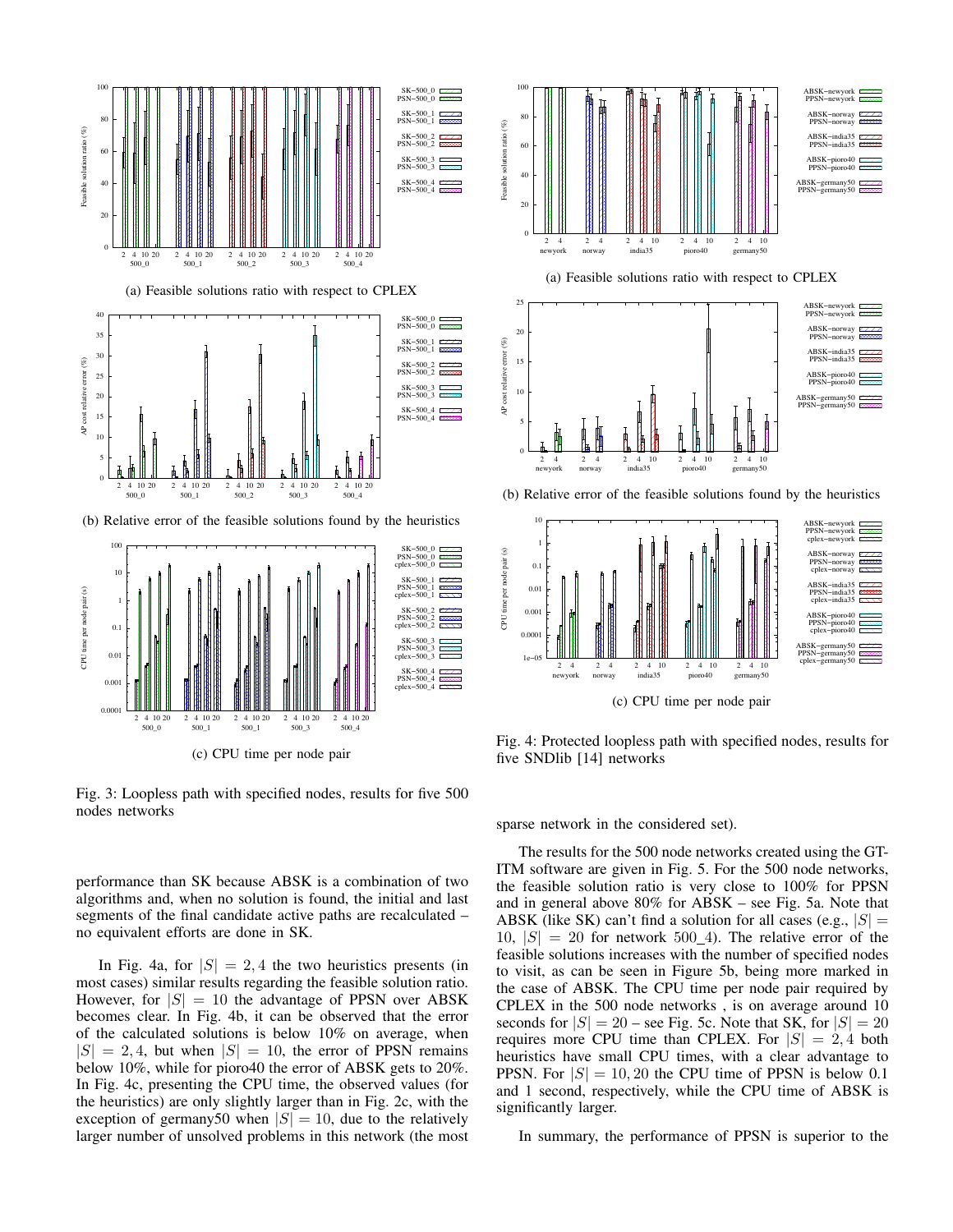



Fig. 3: Loopless path with specified nodes, results for five 500 nodes networks

performance than SK because ABSK is a combination of two algorithms and, when no solution is found, the initial and last segments of the final candidate active paths are recalculated – no equivalent efforts are done in SK.

In Fig. 4a, for  $|S| = 2, 4$  the two heuristics presents (in most cases) similar results regarding the feasible solution ratio. However, for  $|S| = 10$  the advantage of PPSN over ABSK becomes clear. In Fig. 4b, it can be observed that the error of the calculated solutions is below 10% on average, when  $|S| = 2, 4$ , but when  $|S| = 10$ , the error of PPSN remains below 10%, while for pioro40 the error of ABSK gets to 20%. In Fig. 4c, presenting the CPU time, the observed values (for the heuristics) are only slightly larger than in Fig. 2c, with the exception of germany50 when  $|S| = 10$ , due to the relatively larger number of unsolved problems in this network (the most



sparse network in the considered set).

five SNDlib [14] networks

2 4 2 4 2 4 10 2 4 10 2 4 10

(c) CPU time per node pair

Fig. 4: Protected loopless path with specified nodes, results for

newyork norway india35 pioro40

ABSK−pioro40 PPSN−pioro40 cplex−pioro40 ABSK−germany50 PPSN−germany50 cplex−g

1e−05 0.000 0.001

The results for the 500 node networks created using the GT-ITM software are given in Fig. 5. For the 500 node networks, the feasible solution ratio is very close to 100% for PPSN and in general above 80% for ABSK – see Fig. 5a. Note that ABSK (like SK) can't find a solution for all cases (e.g.,  $|S|$  =  $10, |S| = 20$  for network  $500\_4$ ). The relative error of the feasible solutions increases with the number of specified nodes to visit, as can be seen in Figure 5b, being more marked in the case of ABSK. The CPU time per node pair required by CPLEX in the 500 node networks , is on average around 10 seconds for  $|S| = 20$  – see Fig. 5c. Note that SK, for  $|S| = 20$ requires more CPU time than CPLEX. For  $|S| = 2, 4$  both heuristics have small CPU times, with a clear advantage to PPSN. For  $|S| = 10, 20$  the CPU time of PPSN is below 0.1 and 1 second, respectively, while the CPU time of ABSK is significantly larger.

In summary, the performance of PPSN is superior to the